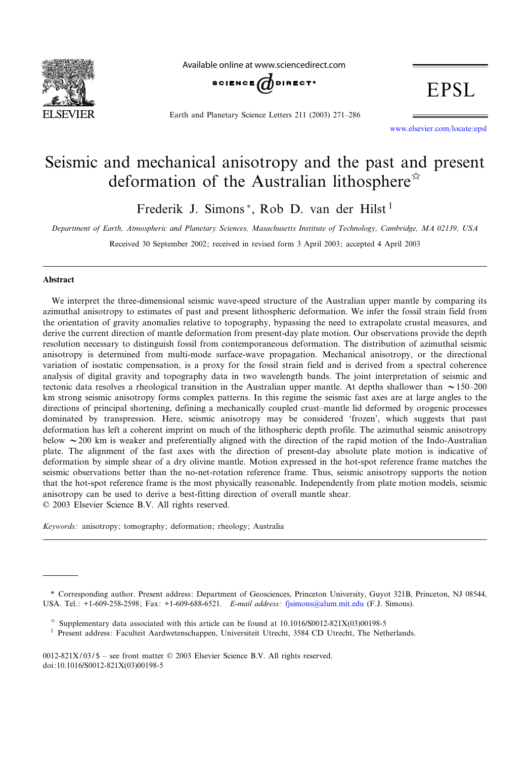

Available online at www.sciencedirect.com



Earth and Planetary Science Letters 211 (2003) 271-286

EPSL

www.elsevier.com/locate/epsl

# Seismic and mechanical anisotropy and the past and present deformation of the Australian lithosphere<sup> $\hat{\alpha}$ </sup>

Frederik J. Simons\*, Rob D. van der Hilst<sup>1</sup>

*Department of Earth, Atmospheric and Planetary Sciences, Masachusetts Institute of Technology, Cambridge, MA 02139, USA*

Received 30 September 2002; received in revised form 3 April 2003; accepted 4 April 2003

# Abstract

We interpret the three-dimensional seismic wave-speed structure of the Australian upper mantle by comparing its azimuthal anisotropy to estimates of past and present lithospheric deformation. We infer the fossil strain field from the orientation of gravity anomalies relative to topography, bypassing the need to extrapolate crustal measures, and derive the current direction of mantle deformation from present-day plate motion. Our observations provide the depth resolution necessary to distinguish fossil from contemporaneous deformation. The distribution of azimuthal seismic anisotropy is determined from multi-mode surface-wave propagation. Mechanical anisotropy, or the directional variation of isostatic compensation, is a proxy for the fossil strain field and is derived from a spectral coherence analysis of digital gravity and topography data in two wavelength bands. The joint interpretation of seismic and tectonic data resolves a rheological transition in the Australian upper mantle. At depths shallower than  $\sim$  150–200 km strong seismic anisotropy forms complex patterns. In this regime the seismic fast axes are at large angles to the directions of principal shortening, defining a mechanically coupled crust-mantle lid deformed by orogenic processes dominated by transpression. Here, seismic anisotropy may be considered 'frozen', which suggests that past deformation has left a coherent imprint on much of the lithospheric depth profile. The azimuthal seismic anisotropy below  $\sim$  200 km is weaker and preferentially aligned with the direction of the rapid motion of the Indo-Australian plate. The alignment of the fast axes with the direction of present-day absolute plate motion is indicative of deformation by simple shear of a dry olivine mantle. Motion expressed in the hot-spot reference frame matches the seismic observations better than the no-net-rotation reference frame. Thus, seismic anisotropy supports the notion that the hot-spot reference frame is the most physically reasonable. Independently from plate motion models, seismic anisotropy can be used to derive a best-fitting direction of overall mantle shear.  $© 2003 Elsevier Science B.V. All rights reserved.$ 

*Keywords:* anisotropy; tomography; deformation; rheology; Australia

0012-821X/03/\$ - see front matter  $©$  2003 Elsevier Science B.V. All rights reserved. doi:10.1016/S0012-821X(03)00198-5

<sup>\*</sup> Corresponding author. Present address: Department of Geosciences, Princeton University, Guyot 321B, Princeton, NJ 08544, USA. Tel.: +1-609-258-2598; Fax: +1-609-688-6521. *E-mail address :* fjsimons@alum.mit.edu (F.J. Simons).

 $\approx$  Supplementary data associated with this article can be found at 10.1016/S0012-821X(03)00198-5

<sup>&</sup>lt;sup>1</sup> Present address: Faculteit Aardwetenschappen, Universiteit Utrecht, 3584 CD Utrecht, The Netherlands.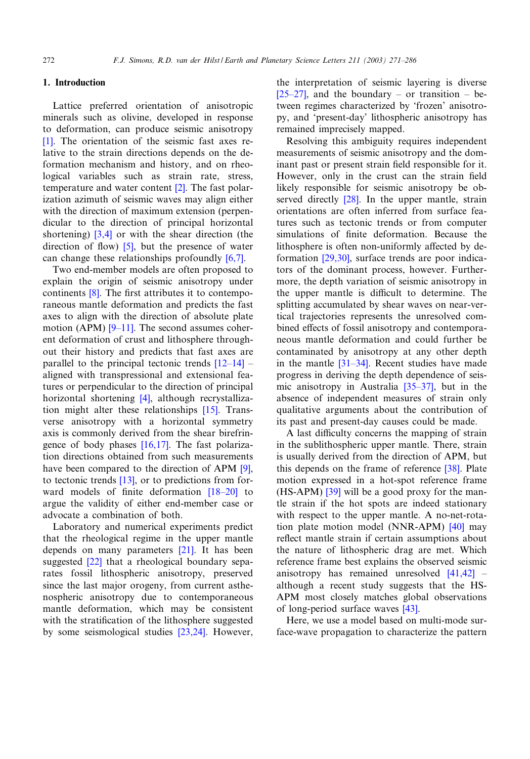# 1. Introduction

Lattice preferred orientation of anisotropic [mi](#page-13-0)nerals such as olivine, developed in response to deformation, can produce seismic anisotropy [1]. The orientation of the seismic fast axes relative to the strain directions depends on the deformation mechanism and hist[ory](#page-13-0), and on rheological variables such as strain rate, stress, temperature and water content [2]. The fast polarization azimuth of seismic waves may align either with the dir[ection](#page-13-0) of maximum extension (perpendicular to the dir[ect](#page-13-0)ion of principal horizontal shortening)  $[3,4]$  or with the shear directi[on \(t](#page-13-0)he direction of flow)  $[5]$ , but the presence of water can change these relationships profoundly [6,7].

Two en[d-m](#page-13-0)ember models are often proposed to explain the origin of seismic anisotropy under continents  $[8]$ . The first attributes it to contemporaneous mantle [deform](#page-13-0)ation and predicts the fast axes to align with the direction of absolute plate motion (APM)  $[9-11]$ . The second assumes coherent deformation of crust and lithosphere [throug](#page-13-0)hout their history and predicts that fast axes are parallel to the principal tectonic trends  $[12-14]$  – aligned with transpres[sion](#page-13-0)al and extensional features or perpendicular to the direction [of p](#page-13-0)rincipal horizontal shortening [4], although recrystallization might alter these relationships [15]. Transverse anisotropy wit[h a ho](#page-13-0)rizontal symmetry axis is commonly derived from the shear birefringence of body phases  $[16,17]$ . The fast polar[iza](#page-13-0)tion directions ob[tain](#page-13-0)ed from such measurements have been compared to the direction o[f APM](#page-14-0) [9], to tectonic trends  $[13]$ , or to predictions from forward models of finite deformation  $[18-20]$  to argue the validity of either end-member case or advocate a combination of both.

Laboratory and numerical e[xperi](#page-14-0)ments predict that the r[heol](#page-14-0)ogical regime in the upper mantle depends on many parameters [21]. It has been suggested [22] that a rheological boundary separates fossil lithospheric anisotropy, preserved since the last major orogeny, from current asthenospheric anisotropy due to contemporaneous mantle deformation, which [may be](#page-14-0) consistent with the stratification of the lithosphere suggested by some seismological studies [23,24]. However, [the int](#page-14-0)erpretation of seismic layering is diverse  $[25-27]$ , and the boundary – or transition – between regimes characterized by 'frozen' anisotropy, and 'present-day' lithospheric anisotropy has remained imprecisely mapped.

Resolving this ambiguity requires independent measurements of seismic anisotropy and the dominant past or present strain field responsible for it. However, only [in](#page-14-0) the crust can the strain field likely responsible for seismic anisotropy be observed directly [28]. In the upper mantle, strain orientations are often inferred from surface features such as tectonic trends or from computer simulations of finite deformation. Because the lithosphere is often non-uniformly affected by deformation [29,30], surface trends are poor indicators of the dominant process, however. Furthermore, the depth variation of seismic anisotropy in the upper mantle is difficult to determine. The splitting accumulated by shear waves on near-vertical trajectories represents the unresolved combined effects of fossil anisotropy and contemporaneous mantle [deform](#page-14-0)ation and could further be contaminated by anisotropy at any other depth in the mantle  $\left[31-34\right]$ . Recent [studies](#page-14-0) have made progress in deriving the depth dependence of seismic anisotropy in Australia [35^37], but in the absence of independent measures of strain only qualitative arguments about the contribution of its past and present-day causes could be made.

A last difficulty concerns the mapping of strain in the sublithospheric upper mantle. Th[ere,](#page-14-0) strain is usually derived from the direction of APM, but this depend[s on](#page-14-0) the frame of reference [38]. Plate motion expressed in a hot-spot reference frame  $(HS-APM)$  [39] will be a good proxy for the mantle strain if the hot spots are indeed s[tatio](#page-14-0)nary with respect to the upper mantle. A no-net-rotation plate motion model (NNR-APM) [40] may reflect mantle strain if certain assumptions about the nature of lithospheric drag are m[et. Whi](#page-14-0)ch reference frame best explains the observed seismic anisotropy has remained unresolved  $[41,42]$  – although a recent study su[ggest](#page-14-0)s that the HS-APM most closely matches global observations of long-period surface waves [43].

Here, we use a model based on multi-mode surface-wave propagation to characterize the pattern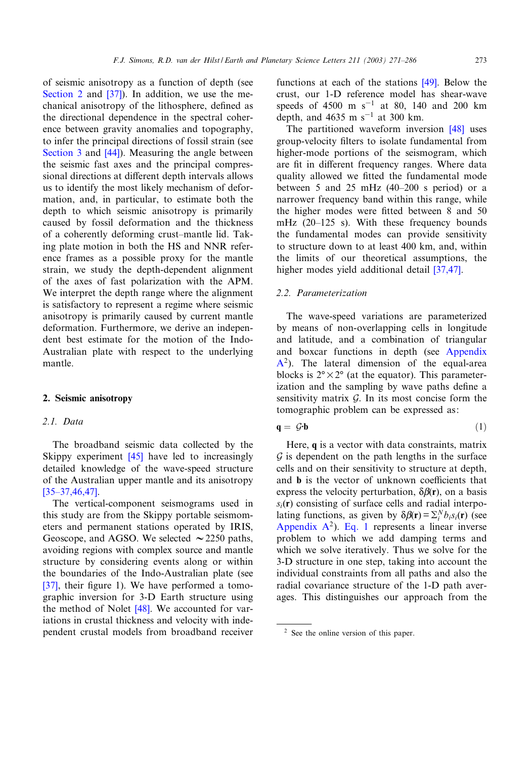<span id="page-2-0"></span>of seismic anis[otro](#page-14-0)py as a function of depth (see Section 2 and [37]). In addition, we use the mechanical anisotropy of the lithosphere, defined as the directional dependence in the spectral coher[ence betw](#page-5-0)een [grav](#page-14-0)ity anomalies and topography, to infer the principal directions of fossil strain (see Section 3 and [44]). Measuring the angle between the seismic fast axes and the principal compressional directions at different depth intervals allows us to identify the most likely mechanism of deformation, and, in particular, to estimate both the depth to which seismic anisotropy is primarily caused by fossil deformation and the thickness of a coherently deforming crust^mantle lid. Taking plate motion in both the HS and NNR reference frames as a possible proxy for the mantle strain, we study the depth-dependent alignment of the axes of fast polarization with the APM. We interpret the depth range where the alignment is satisfactory to represent a regime where seismic anisotropy is primarily caused by current mantle deformation. Furthermore, we derive an independent best estimate for the motion of the Indo-Australian plate with respect to the underlying mantle.

## 2. Seismic anisotropy

## *2.1. Data*

The broadband [seism](#page-14-0)ic data collected by the Skippy experiment [45] have led to increasingly [detailed know](#page-14-0)ledge of the wave-speed structure of the Australian upper mantle and its anisotropy  $[35-37,46,47]$ .

The vertical-component seismograms used in this study are from the Skippy portable seismometers and permanent stations operated by IRIS, Geoscope, and AGSO. We selected  $\sim$  2250 paths, avoiding regions with complex source and mantle [stru](#page-14-0)cture by considering events along or within the boundaries of the Indo-Australian plate (see [37], their figure 1). [We h](#page-14-0)ave performed a tomographic inversion for 3-D Earth structure using the method of Nolet [48]. We accounted for variations in crustal thickness and velocity with independent crustal models from broadband receiver functions at each of the stations [49]. Below the crust, our 1-D reference model has shear-wave speeds of 4500 m s<sup>-1</sup> at 80, 140 and [200](#page-14-0) km depth, and 4635 m  $s^{-1}$  at 300 km.

The partitioned waveform inversion [48] uses group-velocity ¢lters to isolate fundamental from higher-mode portions of the seismogram, which are fit in different frequency ranges. Where data quality allowed we fitted the fundamental mode between 5 and 25 mHz  $(40-200 \text{ s period})$  or a narrower frequency band within this range, while the higher modes were fitted between 8 and 50 mHz  $(20-125 \text{ s})$ . With these frequency bounds the fundamental modes can provide sensitivity to structure down to at least 400 km[, and, w](#page-14-0)ithin the limits of our theoretical assumptions, the higher modes yield additional detail [37,47].

## *2.2. Parameterization*

The wave-speed variations are parameterized by means of non-overlapping cells in longitude and latitude, and a combination of triangular and boxcar functions in depth (see Appendix  $A<sup>2</sup>$ ). The lateral dimension of the equal-area blocks is  $2^{\circ} \times 2^{\circ}$  (at the equator). This parameterization and the sampling by wave paths define a sensitivity matrix  $G$ . In its most concise form the tomographic problem can be expressed as:

$$
\mathbf{q} = \mathcal{G}\cdot\mathbf{b} \tag{1}
$$

Here, q is a vector with data constraints, matrix  $G$  is dependent on the path lengths in the surface cells and on their sensitivity to structure at depth, and  **is the vector of unknown coefficients that** express the velocity perturbation,  $\delta \beta(\mathbf{r})$ , on a basis  $s_i(\mathbf{r})$  consisting of surface cells and radial interpolating functions, as given by  $\delta \beta(\mathbf{r}) = \sum_{i}^{N} b_i s_i(\mathbf{r})$  (see Appendix  $A^2$ ). Eq. 1 represents a linear inverse problem to which we add damping terms and which we solve iteratively. Thus we solve for the 3-D structure in one step, taking into account the individual constraints from all paths and also the radial covariance structure of the 1-D path averages. This distinguishes our approach from the

<sup>2</sup> See the online version of this paper.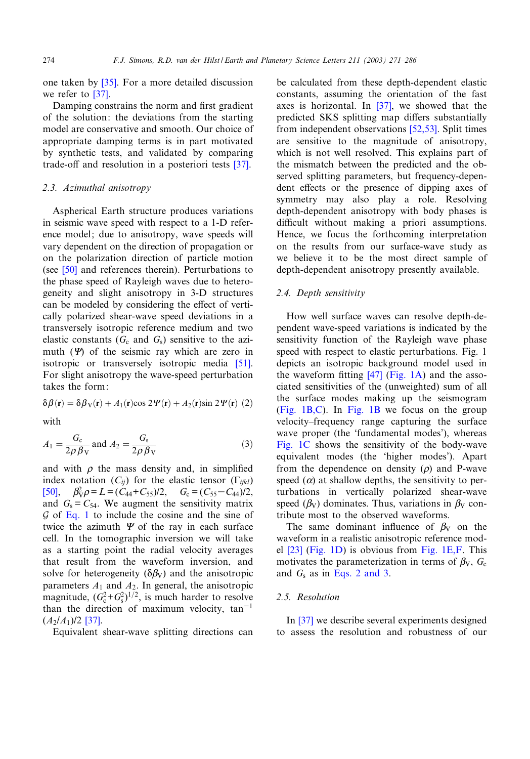<span id="page-3-0"></span>one taken by [\[3](#page-14-0)5]. For a more detailed discussion we refer to [37].

Damping constrains the norm and first gradient of the solution: the deviations from the starting model are conservative and smooth. Our choice of appropriate damping terms is in part moti[vated](#page-14-0) by synthetic tests, and validated by comparing trade-off and resolution in a posteriori tests [37].

### *2.3. Azimuthal anisotropy*

Aspherical Earth structure produces variations in seismic wave speed with respect to a 1-D reference model; due to anisotropy, wave speeds will vary [dep](#page-15-0)endent on the direction of propagation or on the polarization direction of particle motion (see  $[50]$  and references therein). Perturbations to the phase speed of Rayleigh waves due to heterogeneity and slight anisotropy in 3-D structures can be modeled by considering the effect of vertically polarized shear-wave speed deviations in a transversely isotropic reference medium and two elastic constants  $(G_c \text{ and } G_s)$  sensitive to the [azi](#page-15-0)muth  $(\Psi)$  of the seismic ray which are zero in isotropic or transversely isotropic media [51]. For slight anisotropy the wave-speed perturbation takes the form:

$$
\delta\beta(\mathbf{r}) = \delta\beta_{\rm V}(\mathbf{r}) + A_1(\mathbf{r})\cos 2\Psi(\mathbf{r}) + A_2(\mathbf{r})\sin 2\Psi(\mathbf{r}) \tag{2}
$$

with

$$
A_1 = \frac{G_c}{2\rho \beta \mathbf{v}} \text{ and } A_2 = \frac{G_s}{2\rho \beta \mathbf{v}} \tag{3}
$$

[and](#page-15-0) with  $\rho$  the mass density and, in simplified index notation  $(C_{ij})$  for the elastic tensor  $(\Gamma_{ijkl})$ [50],  $\beta_V^2 \rho = L = (C_{44} + C_{55})/2$  $\beta_V^2 \rho = L = (C_{44} + C_{55})/2$  $\beta_V^2 \rho = L = (C_{44} + C_{55})/2$ ,  $G_c = (C_{55} - C_{44})/2$ , and  $G_s = C_{54}$ . We augment the sensitivity matrix  $G$  of Eq. 1 to include the cosine and the sine of twice the azimuth  $\Psi$  of the ray in each surface cell. In the tomographic inversion we will take as a starting point the radial velocity averages that result from the waveform inversion, and solve for heterogeneity  $(\delta \beta_V)$  and the anisotropic parameters  $A_1$  and  $A_2$ . In general, the anisotropic magnitude,  $(G_c^2 + G_s^2)^{1/2}$ , is much harder to resolve than the direction of maximum velocity,  $tan^{-1}$  $(A_2/A_1)/2$  [37].

Equivalent shear-wave splitting directions can

be calculated from the[se d](#page-14-0)epth-dependent elastic constants, assuming the orientation of the fast axes is horizontal. In [37], w[e showe](#page-15-0)d that the predicted SKS splitting map differs substantially from independent observations [52,53]. Split times are sensitive to the magnitude of anisotropy, which is not well resolved. This explains part of the mismatch between the predicted and the observed splitting parameters, but frequency-dependent effects or the presence of dipping axes of symmetry may also play a role. Resolving depth-dependent anisotropy with body phases is difficult without making a priori assumptions. Hence, we focus the forthcoming interpretation on the results from our surface-wave study as we believe it to be the most direct sample of depth-dependent anisotropy presently available.

### *2.4. Depth sensitivity*

How well surface waves can resolve depth-dependent wave-speed variations is indicated [by the](#page-4-0) sensitivity function of the Rayleigh wave phase speed with respect to [elas](#page-14-0)t[ic pertur](#page-4-0)bations. Fig. 1 depicts an isotropic background model used in the waveform fitting  $[47]$  (Fig. 1A) and the asso[ciated sensi](#page-4-0)tiviti[es of the](#page-4-0) (unweighted) sum of all the surface modes making up the seismogram (Fig. 1B,C). In Fig. 1B we focus on the group velocity–frequency range capturing the surface wave proper (the 'fundamental modes'), whereas Fig. 1C shows the sensitivity of the body-wave equivalent modes (the 'higher modes'). Apart from the dependence on density  $(\rho)$  and P-wave speed  $(\alpha)$  at shallow depths, the sensitivity to perturbations in vertically polarized shear-wave speed ( $\beta_V$ ) dominates. Thus, variations in  $\beta_V$  contribute most to the observed waveforms.

[The](#page-14-0) [same do](#page-4-0)minant influence [of](#page-4-0)  $\beta_V$  on the waveform in a realistic anisotropic reference model [23] (Fig. 1D) is obvious from Fig. 1E,F. This motivates the parameterization in terms of  $\beta_{V}$ ,  $G_c$ and *G*<sup>s</sup> as in Eqs. 2 and 3.

# *2.5. [Reso](#page-14-0)lution*

In [37] we describe several experiments designed to assess the resolution and robustness of our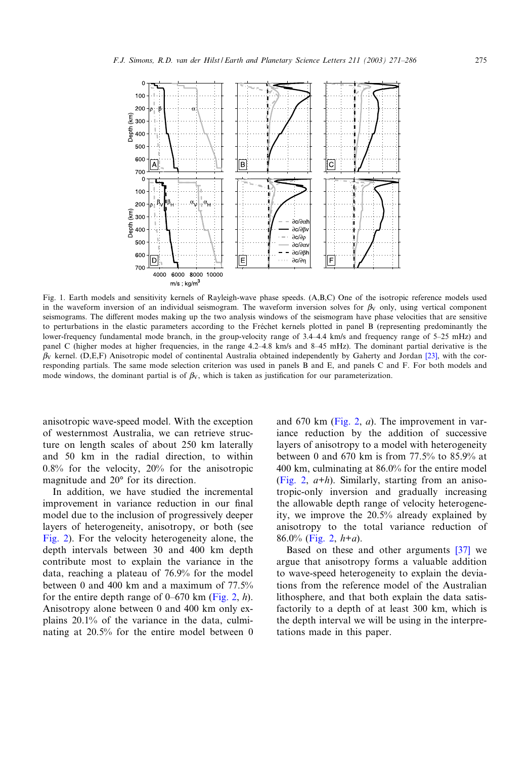<span id="page-4-0"></span>

Fig. 1. Earth models and sensitivity kernels of Rayleigh-wave phase speeds. (A,B,C) One of the isotropic reference models used in the waveform inversion of an individual seismogram. The waveform inversion solves for  $\beta_V$  only, using vertical component seismograms. The different modes making up the two analysis windows of the seismogram have phase velocities that are sensitive to perturbations in the elastic parameters according to the Fréchet kernels plotted in panel B (representing predominantly the lower-frequency fundamental mode branch, in the group-velocity range of 3.4-4.4 km/s and frequency range of 5-25 mHz) and panel C (higher modes at higher frequencies, in the range 4.2-4.8 km/s and 8-45 mHz). The dominant partial derivative is the  $\beta_V$  kernel. (D,E,F) Anisotropic model of continental Australia obtained independently by Gaherty and Jordan [23], with the corresponding partials. The same mode selection criterion was used in panels B and E, and panels C and F. For both models and mode windows, the dominant partial is of  $\beta_V$ , which is taken as justification for our parameterization.

anisotropic wave-speed model. With the exception of westernmost Australia, we can retrieve structure on length scales of about 250 km laterally and 50 km in the radial direction, to within 0.8% for the velocity, 20% for the anisotropic magnitude and  $20^{\circ}$  for its direction.

In addition, we have studied the incremental improvement in variance reduction in our final [model](#page-5-0) due to the inclusion of progressively deeper layers of heterogeneity, anisotropy, or both (see Fig. 2). For the velocity heterogeneity alone, the depth intervals between 30 and 400 km depth contribute most to explain the variance in the data, reaching a plateau of 76.9% for [the mo](#page-5-0)del between 0 and 400 km and a maximum of 77.5% for the entire depth range of  $0-670$  km (Fig. 2, *h*). Anisotropy alone between 0 and 400 km only explains 20.1% of the variance in the data, culminating at 20.5% for the entire model between 0

and 670 km (Fig. 2, *a*). The improvement in variance reduction by the addition of successive layers of anisotropy to a model with heterogeneity [between](#page-5-0) 0 and 670 km is from 77.5% to 85.9% at 400 km, culminating at 86.0% for the entire model (Fig. 2, *a*+*h*). Similarly, starting from an anisotropic-only inversion and gradually increasing the allowable depth range of velocity heterogeneity, we [impro](#page-5-0)ve the 20.5% already explained by anisotropy to the total variance reduc[tion](#page-14-0) of 86.0% (Fig. 2, *h*+*a*).

Based on these and other arguments [37] we argue that anisotropy forms a valuable addition to wave-speed heterogeneity to explain the deviations from the reference model of the Australian lithosphere, and that both explain the data satisfactorily to a depth of at least 300 km, which is the depth interval we will be using in the interpretations made in this paper.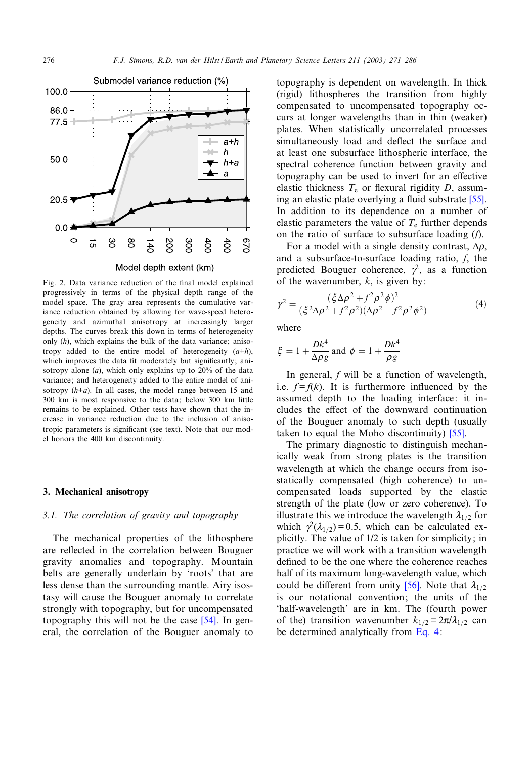<span id="page-5-0"></span>

Fig. 2. Data variance reduction of the final model explained progressively in terms of the physical depth range of the model space. The gray area represents the cumulative variance reduction obtained by allowing for wave-speed heterogeneity and azimuthal anisotropy at increasingly larger depths. The curves break this down in terms of heterogeneity only (*h*), which explains the bulk of the data variance; anisotropy added to the entire model of heterogeneity (*a*+*h*), which improves the data fit moderately but significantly; anisotropy alone (*a*), which only explains up to 20% of the data variance; and heterogeneity added to the entire model of anisotropy (*h*+*a*). In all cases, the model range between 15 and 300 km is most responsive to the data; below 300 km little remains to be explained. Other tests have shown that the increase in variance reduction due to the inclusion of anisotropic parameters is significant (see text). Note that our model honors the 400 km discontinuity.

### 3. Mechanical anisotropy

## *3.1. The correlation of gravity and topography*

The mechanical properties of the lithosphere are reflected in the correlation between Bouguer gravity anomalies and topography. Mountain belts are generally underlain by 'roots' that are less dense than the surrounding mantle. Airy isostasy will cause the Bouguer anomaly [to](#page-15-0) correlate strongly with topography, but for uncompensated topography this will not be the case [54]. In general, the correlation of the Bouguer anomaly to

topography is dependent on wavelength. In thick (rigid) lithospheres the transition from highly compensated to uncompensated topography occurs at longer wavelengths than in thin (weaker) plates. When statistically uncorrelated processes simultaneously load and deflect the surface and at least one subsurface lithospheric interface, the spectral coherence function between gravity and topography can be used to invert for an effe[ctive](#page-15-0) elastic thickness  $T_e$  or flexural rigidity  $D$ , assuming an elastic plate overlying a fluid substrate  $[55]$ . In addition to its dependence on a number of elastic parameters the value of  $T_e$  further depends on the ratio of surface to subsurface loading (*f*).

For a model with a single density contrast,  $\Delta \rho$ , and a subsurface-to-surface loading ratio, *f*, the predicted Bouguer coherence,  $\gamma^2$ , as a function of the wavenumber, *k*, is given by:

$$
\gamma^{2} = \frac{(\xi \Delta \rho^{2} + f^{2} \rho^{2} \phi)^{2}}{(\xi^{2} \Delta \rho^{2} + f^{2} \rho^{2})(\Delta \rho^{2} + f^{2} \rho^{2} \phi^{2})}
$$
(4)

where

$$
\xi = 1 + \frac{Dk^4}{\Delta \rho g}
$$
 and  $\phi = 1 + \frac{Dk^4}{\rho g}$ 

In general, *f* will be a function of wavelength, i.e.  $f = f(k)$ . It is furthermore influenced by the assumed depth to the loading interface: it includes the effect of the downward con[tinu](#page-15-0)ation of the Bouguer anomaly to such depth (usually taken to equal the Moho discontinuity) [55].

The primary diagnostic to distinguish mechanically weak from strong plates is the transition wavelength at which the change occurs from isostatically compensated (high coherence) to uncompensated loads supported by the elastic strength of the plate (low or zero coherence). To illustrate this we introduce the wavelength  $\lambda_{1/2}$  for which  $\gamma^2(\lambda_{1/2}) = 0.5$ , which can be calculated explicitly. The value of 1/2 is taken for simplicity; in practice we will work with a transition wavelength defined to be the one where t[he co](#page-15-0)herence reaches half of its maximum long-wavelength value, which could be different from unity [56]. Note that  $\lambda_{1/2}$ is our notational convention; the units of the 'half-wavelength' are in km. The (fourth power of the) transition wavenumber  $k_{1/2} = 2\pi/\lambda_{1/2}$  can be determined analytically from Eq. 4: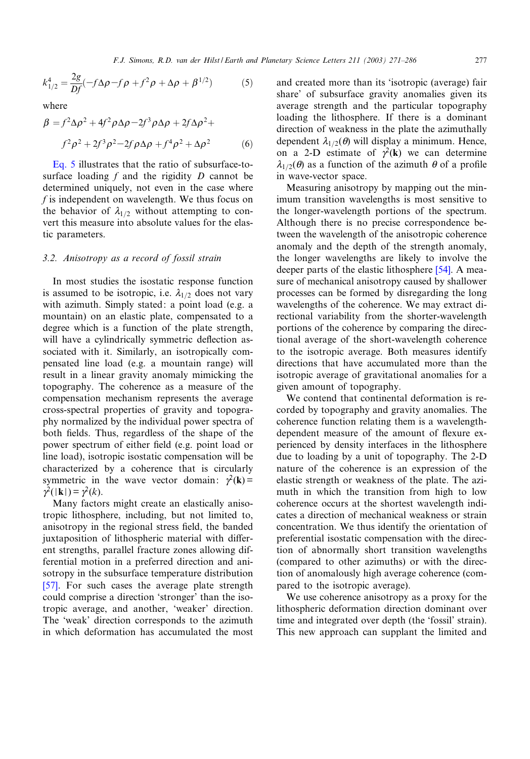$$
k_{1/2}^4 = \frac{2g}{Df}(-f\Delta\rho - f\rho + f^2\rho + \Delta\rho + \beta^{1/2})
$$
 (5)

where

$$
\beta = f^2 \Delta \rho^2 + 4f^2 \rho \Delta \rho - 2f^3 \rho \Delta \rho + 2f \Delta \rho^2 +
$$
  

$$
f^2 \rho^2 + 2f^3 \rho^2 - 2f \rho \Delta \rho + f^4 \rho^2 + \Delta \rho^2
$$
 (6)

Eq. 5 illustrates that the ratio of subsurface-tosurface loading *f* and the rigidity *D* cannot be determined uniquely, not even in the case where *f* is independent on wavelength. We thus focus on the behavior of  $\lambda_{1/2}$  without attempting to convert this measure into absolute values for the elastic parameters.

## *3.2. Anisotropy as a record of fossil strain*

In most studies the isostatic response function is assumed to be isotropic, i.e.  $\lambda_{1/2}$  does not vary with azimuth. Simply stated: a point load (e.g. a mountain) on an elastic plate, compensated to a degree which is a function of the plate strength, will have a cylindrically symmetric deflection associated with it. Similarly, an isotropically compensated line load (e.g. a mountain range) will result in a linear gravity anomaly mimicking the topography. The coherence as a measure of the compensation mechanism represents the average cross-spectral properties of gravity and topography normalized by the individual power spectra of both fields. Thus, regardless of the shape of the power spectrum of either field (e.g. point load or line load), isotropic isostatic compensation will be characterized by a coherence that is circularly symmetric in the wave vector domain:  $\gamma^2(\mathbf{k}) =$  $\gamma^2(|{\bf k}|) = \gamma^2(k)$ .

Many factors might create an elastically anisotropic lithosphere, including, but not limited to, anisotropy in the regional stress field, the banded juxtaposition of lithospheric material with different strengths, parallel fracture zones allowing dif[fere](#page-15-0)ntial motion in a preferred direction and anisotropy in the subsurface temperature distribution [57]. For such cases the average plate strength could comprise a direction 'stronger' than the isotropic average, and another, 'weaker' direction. The 'weak' direction corresponds to the azimuth in which deformation has accumulated the most

and created more than its 'isotropic (average) fair share' of subsurface gravity anomalies given its average strength and the particular topography loading the lithosphere. If there is a dominant direction of weakness in the plate the azimuthally dependent  $\lambda_{1/2}(\theta)$  will display a minimum. Hence, on a 2-D estimate of  $\gamma^2(\mathbf{k})$  we can determine  $\lambda_{1/2}(\theta)$  as a function of the azimuth  $\theta$  of a profile in wave-vector space.

Measuring anisotropy by mapping out the minimum transition wavelengths is most sensitive to the longer-wavelength portions of the spectrum. Although there is no precise correspondence between the wavelength of the anisotropic coherence anomaly and the depth of the stren[gth a](#page-15-0)nomaly, the longer wavelengths are likely to involve the deeper parts of the elastic lithosphere [54]. A measure of mechanical anisotropy caused by shallower processes can be formed by disregarding the long wavelengths of the coherence. We may extract directional variability from the shorter-wavelength portions of the coherence by comparing the directional average of the short-wavelength coherence to the isotropic average. Both measures identify directions that have accumulated more than the isotropic average of gravitational anomalies for a given amount of topography.

We contend that continental deformation is recorded by topography and gravity anomalies. The coherence function relating them is a wavelengthdependent measure of the amount of flexure experienced by density interfaces in the lithosphere due to loading by a unit of topography. The 2-D nature of the coherence is an expression of the elastic strength or weakness of the plate. The azimuth in which the transition from high to low coherence occurs at the shortest wavelength indicates a direction of mechanical weakness or strain concentration. We thus identify the orientation of preferential isostatic compensation with the direction of abnormally short transition wavelengths (compared to other azimuths) or with the direction of anomalously high average coherence (compared to the isotropic average).

We use coherence anisotropy as a proxy for the lithospheric deformation direction dominant over time and integrated over depth (the 'fossil' strain). This new approach can supplant the limited and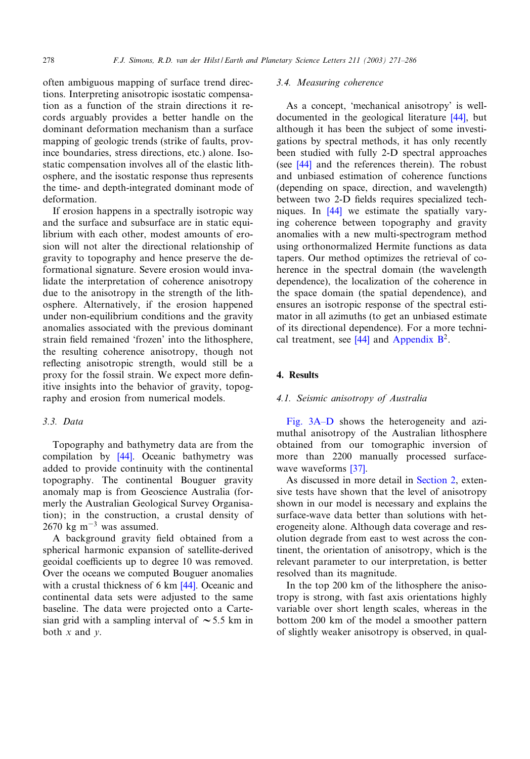often ambiguous mapping of surface trend directions. Interpreting anisotropic isostatic compensation as a function of the strain directions it records arguably provides a better handle on the dominant deformation mechanism than a surface mapping of geologic trends (strike of faults, province boundaries, stress directions, etc.) alone. Isostatic compensation involves all of the elastic lithosphere, and the isostatic response thus represents the time- and depth-integrated dominant mode of deformation.

If erosion happens in a spectrally isotropic way and the surface and subsurface are in static equilibrium with each other, modest amounts of erosion will not alter the directional relationship of gravity to topography and hence preserve the deformational signature. Severe erosion would invalidate the interpretation of coherence anisotropy due to the anisotropy in the strength of the lithosphere. Alternatively, if the erosion happened under non-equilibrium conditions and the gravity anomalies associated with the previous dominant strain field remained 'frozen' into the lithosphere, the resulting coherence anisotropy, though not reflecting anisotropic strength, would still be a proxy for the fossil strain. We expect more definitive insights into the behavior of gravity, topography and erosion from numerical models.

# *3.3. Data*

Topography a[nd ba](#page-14-0)thymetry data are from the compilation by [44]. Oceanic bathymetry was added to provide continuity with the continental topography. The continental Bouguer gravity anomaly map is from Geoscience Australia (formerly the Australian Geological Survey Organisation); in the construction, a crustal density of  $2670 \text{ kg m}^{-3}$  was assumed.

A background gravity field obtained from a spherical harmonic expansion of satellite-derived geoidal coefficients up to degree [10 w](#page-14-0)as removed. Over the oceans we computed Bouguer anomalies with a crustal thickness of 6 km [44]. Oceanic and continental data sets were adjusted to the same baseline. The data were projected onto a Cartesian grid with a sampling interval of  $\sim$  5.5 km in both *x* and *y*.

## *3.4. Measuring coherence*

As a concept, 'mechanical anisotropy[' is](#page-14-0) welldocumented in the geological literature [44], but although it has been the subject of some investigati[ons b](#page-14-0)y spectral methods, it has only recently been studied with fully 2-D spectral approaches (see [44] and the references therein). The robust and unbiased estimation of coherence functions (depending [on](#page-14-0) space, direction, and wavelength) between two 2-D fields requires specialized techniques. In [44] we estimate the spatially varying coherence between topography and gravity anomalies with a new multi-spectrogram method using orthonormalized Hermite functions as data tapers. Our method optimizes the retrieval of coherence in the spectral domain (the wavelength dependence), the localization of the coherence in the space domain (the spatial dependence), and ensures an isotropic response of the spectral estimator in all azimu[ths \(](#page-14-0)to get an unbiased estimate of its directional dependence). For a more technical treatment, see  $[44]$  and Appendix  $B^2$ .

# 4. Results

## *4.[1. Seismic a](#page-8-0)nisotropy of Australia*

Fig. 3A–D shows the heterogeneity and azimuthal anisotropy of the Australian lithosphere obtained from [our](#page-14-0) tomographic inversion of more than 2200 manually pr[ocessed s](#page-2-0)urfacewave waveforms [37].

As discussed in more detail in Section 2, extensive tests have shown that the level of anisotropy shown in our model is necessary and explains the surface-wave data better than solutions with heterogeneity alone. Although data coverage and resolution degrade from east to west across the continent, the orientation of anisotropy, which is the relevant parameter to our interpretation, is better resolved than its magnitude.

In the top 200 km of the lithosphere the anisotropy is strong, with fast axis orientations highly variable over short length scales, whereas in the bottom 200 km of the model a smoother pattern of slightly weaker anisotropy is observed, in qual-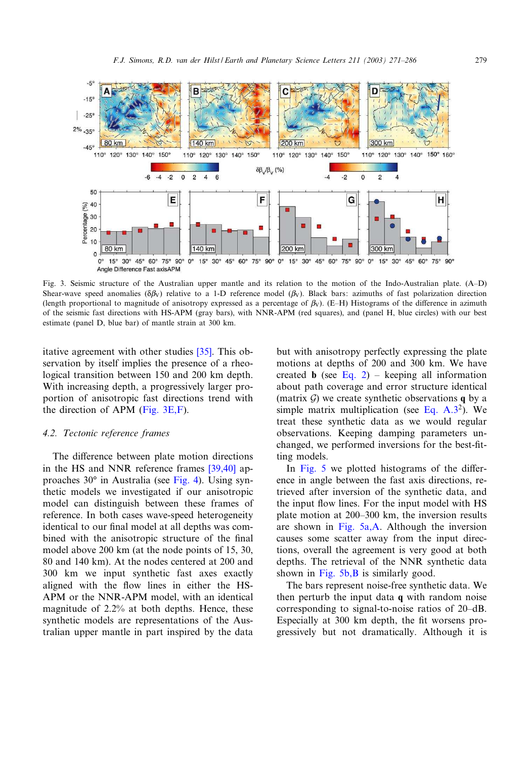<span id="page-8-0"></span>

Fig. 3. Seismic structure of the Australian upper mantle and its relation to the motion of the Indo-Australian plate. (A^D) Shear-wave speed anomalies ( $\delta \beta_V$ ) relative to a 1-D reference model ( $\beta_V$ ). Black bars: azimuths of fast polarization direction (length proportional to magnitude of anisotropy expressed as a percentage of  $\beta_V$ ). (E-H) Histograms of the difference in azimuth of the seismic fast directions with HS-APM (gray bars), with NNR-APM (red squares), and (panel H, blue circles) with our best estimate (panel D, blue bar) of mantle strain at 300 km.

itative agreement with other studies [35]. This observation by itself implies the presence of a rheological transition between 150 and 200 km depth. With increasing depth, a progressively larger proportion of anisotropic fast directions trend with the direction of APM (Fig. 3E,F).

## *4.2. Tectonic reference frames*

The difference between plat[e motio](#page-9-0)[n direct](#page-14-0)ions in the HS and NNR reference frames [39,40] approaches 30° in Australia (see Fig. 4). Using synthetic models we investigated if our anisotropic model can distinguish between these frames of reference. In both cases wave-speed heterogeneity identical to our final model at all depths was combined with the anisotropic structure of the final model above 200 km (at the node points of 15, 30, 80 and 140 km). At the nodes centered at 200 and 300 km we input synthetic fast axes exactly aligned with the flow lines in either the HS-APM or the NNR-APM model, with an identical magnitude of 2.2% at both depths. Hence, these synthetic models are representations of the Australian upper mantle in part inspired by the data

but with anisot[ropy p](#page-3-0)erfectly expressing the plate motions at depths of 200 and 300 km. We have created **b** (see Eq. 2) – keeping all information about path coverage and error structure identical (matrix  $\mathcal G$ ) we create synthetic observations **q** by a simple matrix multiplication (see Eq.  $A.3^2$ ). We treat these synthetic data as we would regular observations. Keeping damping parameters unchan[ged, we](#page-9-0) performed inversions for the best-fitting models.

In Fig. 5 we plotted histograms of the difference in angle between the fast axis directions, retrieved after inversion of the synthetic data, and the input flow [lines. For](#page-9-0) the input model with HS plate motion at  $200-300$  km, the inversion results are shown in Fig. 5a,A. Although the inversion causes some scatter away from the input directions, ove[rall the ag](#page-9-0)reement is very good at both depths. The retrieval of the NNR synthetic data shown in Fig.  $5b$ , B is similarly good.

The bars represent noise-free synthetic data. We then perturb the input data q with random noise corresponding to signal-to-noise ratios of 20-dB. Especially at 300 km depth, the fit worsens progressively but not dramatically. Although it is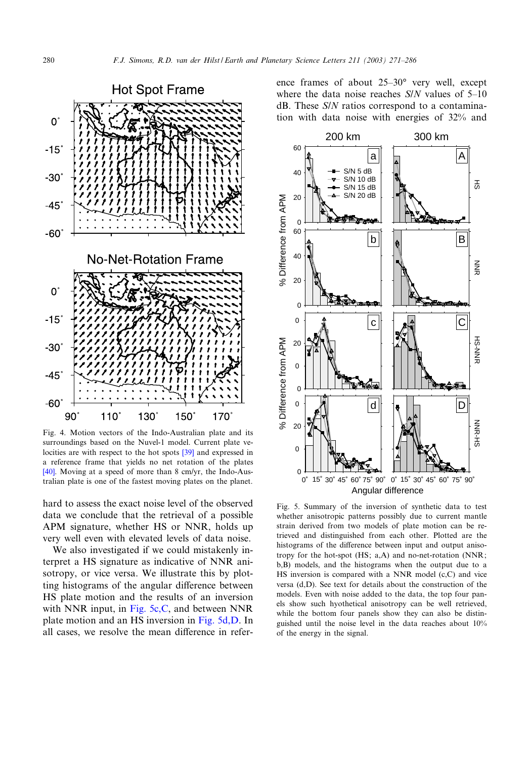<span id="page-9-0"></span>

Fig. 4. Motion vectors of the Indo-Au[stral](#page-14-0)ian plate and its surroundings based on the Nuvel-1 model. Current plate ve[loci](#page-14-0)ties are with respect to the hot spots [39] and expressed in a reference frame that yields no net rotation of the plates [40]. Moving at a speed of more than 8 cm/yr, the Indo-Australian plate is one of the fastest moving plates on the planet.

hard to assess the exact noise level of the observed data we conclude that the retrieval of a possible APM signature, whether HS or NNR, holds up very well even with elevated levels of data noise.

We also investigated if we could mistakenly interpret a HS signature as indicative of NNR anisotropy, or vice versa. We illustrate this by plotting histograms of the angular difference between HS plate motion and the results of an inversion with NNR input, in Fig. 5c, C, and between NNR plate motion and an HS inversion in Fig. 5d,D. In all cases, we resolve the mean difference in reference frames of about  $25-30°$  very well, except where the data noise reaches *S/N* values of 5–10 dB. These *S*/*N* ratios correspond to a contamination with data noise with energies of 32% and



Fig. 5. Summary of the inversion of synthetic data to test whether anisotropic patterns possibly due to current mantle strain derived from two models of plate motion can be retrieved and distinguished from each other. Plotted are the histograms of the difference between input and output anisotropy for the hot-spot (HS; a,A) and no-net-rotation (NNR; b,B) models, and the histograms when the output due to a HS inversion is compared with a NNR model (c,C) and vice versa (d,D). See text for details about the construction of the models. Even with noise added to the data, the top four panels show such hyothetical anisotropy can be well retrieved, while the bottom four panels show they can also be distinguished until the noise level in the data reaches about 10% of the energy in the signal.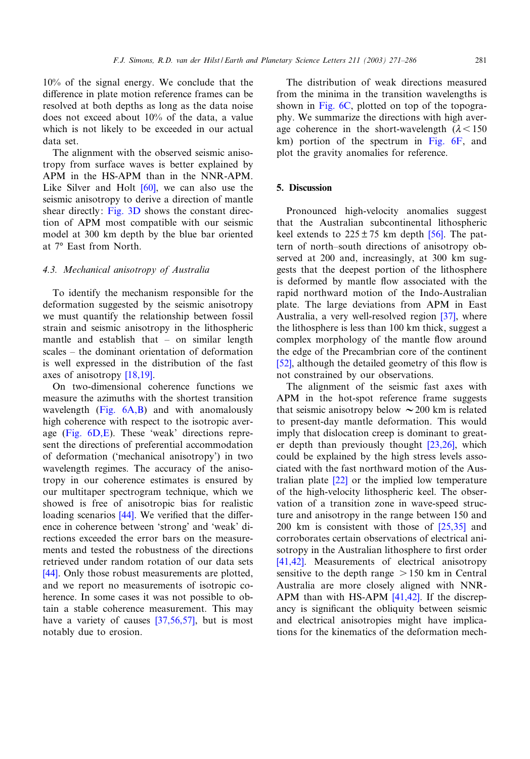10% of the signal energy. We conclude that the difference in plate motion reference frames can be resolved at both depths as long as the data noise does not exceed about 10% of the data, a value which is not likely to be exceeded in our actual data set.

The alignment with the observed seismic anisotropy from surface w[aves](#page-15-0) is better explained by APM in the HS-APM than in the NNR-APM. Like Silver an[d Holt](#page-8-0) [60], we can also use the seismic anisotropy to derive a direction of mantle shear directly: Fig. 3D shows the constant direction of APM most compatible with our seismic model at 300 km depth by the blue bar oriented at 7° East from North.

## *4.3. Mechanical anisotropy of Australia*

To identify the mechanism responsible for the deformation suggested by the seismic anisotropy we must quantify the relationship between fossil strain and seismic anisotropy in the lithospheric mantle and establish that  $-$  on similar length  $scales - the dominant orientation of deformation$  $scales - the dominant orientation of deformation$  $scales - the dominant orientation of deformation$ is well expressed in the distribution of the fast axes of anisotropy [18,19].

On two-di[mensional](#page-11-0) coherence functions we measure the azimuths with the shortest transition wave[length \(Fig](#page-11-0).  $6A,B$ ) and with anomalously high coherence with respect to the isotropic average (Fig. 6D,E). These 'weak' directions represent the directions of preferential accommodation of deformation ('mechanical anisotropy') in two wavelength regimes. The accuracy of the anisotropy in our coherence estimates is ensured by our multitaper sp[ectro](#page-14-0)gram technique, which we showed is free of anisotropic bias for realistic loading scenarios  $[44]$ . We verified that the difference in coherence between 'strong' and 'weak' directions exceeded the error bars on the measure[men](#page-14-0)ts and tested the robustness of the directions retrieved under random rotation of our data sets [44]. Only those robust measurements are plotted, and we report no measurements of isotropic coherence. In some cases it [was not p](#page-14-0)ossible to obtain a stable coherence measurement. This may have a variety of causes [37,56,57], but is most notably due to erosion.

The di[stributio](#page-11-0)n of weak directions measured from the minima in the transition wavelengths is shown in Fig. 6C, plotted on top of the topography. We summarize the directions [with high](#page-11-0) average coherence in the short-wavelength  $(\lambda < 150$ km) portion of the spectrum in Fig. 6F, and plot the gravity anomalies for reference.

## 5. Discussion

Pronounced high-velocity ano[malie](#page-15-0)s suggest that the Australian subcontinental lithospheric keel extends to  $225 \pm 75$  km depth [56]. The pattern of north-south directions of anisotropy observed at 200 and, increasingly, at 300 km suggests that the deepest portion of the lithosphere is deformed by mantle flow associated with the rapid northward motion of the Indo[-Aus](#page-14-0)tralian plate. The large deviations from APM in East Australia, a very well-resolved region [37], where the lithosphere is less than 100 km thick, suggest a [com](#page-15-0)plex morphology of the mantle flow around the edge of the Precambrian core of the continent [52], although the detailed geometry of this flow is not constrained by our observations.

The alignment of the seismic fast axes with APM in the hot-spot reference frame suggests that seismic anisotropy below  $\sim$  200 km is related to present-day mantle deformatio[n. This](#page-14-0) would imply that dislocation creep is dominant to greater depth than previously thought [23,26], which could be exp[laine](#page-14-0)d by the high stress levels associated with the fast northward motion of the Australian plate [22] or the implied low temperature of the high-velocity lithospheric keel. The observation of a transition zone in wave-[speed s](#page-14-0)tructure and anisotropy in the range between 150 and 200 km is consistent with those of [25,35] and [corrob](#page-14-0)orates certain observations of electrical anisotropy in the Australian lithosphere to first order [41,42]. Measurements of electrical anisotropy sensitive to the depth range  $> 150$  $> 150$  km in Central Australia are more closely aligned with NNR-APM than with HS-APM [41,42]. If the discrepancy is significant the obliquity between seismic and electrical anisotropies might have implications for the kinematics of the deformation mech-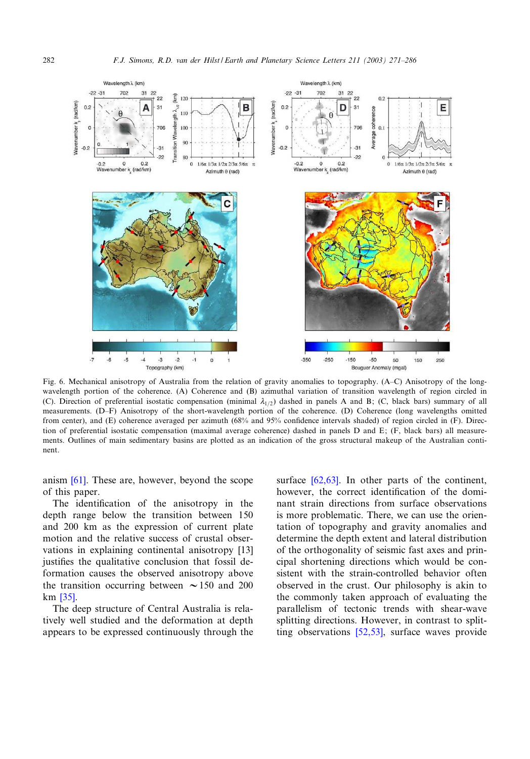<span id="page-11-0"></span>

Fig. 6. Mechanical anisotropy of Australia from the relation of gravity anomalies to topography. (A^C) Anisotropy of the longwavelength portion of the coherence. (A) Coherence and (B) azimuthal variation of transition wavelength of region circled in (C). Direction of preferential isostatic compensation (minimal  $\lambda_{1/2}$ ) dashed in panels A and B; (C, black bars) summary of all measurements. (D-F) Anisotropy of the short-wavelength portion of the coherence. (D) Coherence (long wavelengths omitted from center), and (E) coherence averaged per azimuth (68% and 95% confidence intervals shaded) of region circled in (F). Direction of preferential isostatic compensation (maximal average coherence) dashed in panels D and E; (F, black bars) all measurements. Outlines of main sedimentary basins are plotted as an indication of the gross structural makeup of the Australian continent.

anism [61]. These are, however, beyond the scope of this paper.

The identification of the anisotropy in the depth range below the transition between 150 and 200 km as the expression of current p[late](#page-13-0) motion and the relative success of crustal observations in explaining continental anisotropy [13] justifies the qualitative conclusion that fossil defor[matio](#page-14-0)n causes the observed anisotropy above the transition occurring between  $\sim$  150 and 200 km [35].

The deep structure of Central Australia is relatively well studied and the deformation at depth appears to be expressed continuously through the

surface [62,63]. In other parts of the continent, however, the correct identification of the dominant strain directions from surface observations is more problematic. There, we can use the orientation of topography and gravity anomalies and determine the depth extent and lateral distribution of the orthogonality of seismic fast axes and principal shortening directions which would be consistent with the strain-controlled behavior often observed in the crust. Our philosophy is akin to the commonly taken approach of evaluating the parallelism of te[ctonic](#page-15-0) trends with shear-wave splitting directions. However, in contrast to splitting observations [52,53], surface waves provide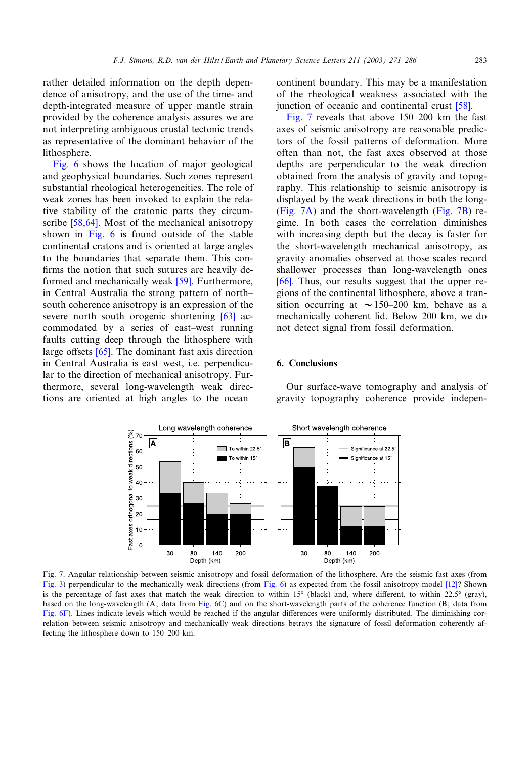rather detailed information on the depth dependence of anisotropy, and the use of the time- and depth-integrated measure of upper mantle strain provided by the coherence analysis assures we are not interpreting ambiguous crustal tectonic trends as [repres](#page-11-0)entative of the dominant behavior of the lithosphere.

Fig. 6 shows the location of major geological and geophysical boundaries. Such zones represent substantial rheological heterogeneities. The role of weak [zones h](#page-15-0)as been invoked to explain the relative stabili[ty of](#page-11-0) the cratonic parts they circumscribe [58,64]. Most of the mechanical anisotropy shown in Fig. 6 is found outside of the stable continental cratons and is oriented at large angles to the boundaries that separat[e th](#page-15-0)em. This con firms the notion that such sutures are heavily deformed and mechanically weak [59]. Furthermore, in Central Australia the strong pattern o[f no](#page-15-0)rth^ south coherence anisotropy is an expression of the severe north-south orogenic shortening  $[63]$  accommodate[d by](#page-15-0) a series of east-west running faults cutting deep through the lithosphere with large offsets  $[65]$ . The dominant fast axis direction in Central Australia is east-west, i.e. perpendicular to the direction of mechanical anisotropy. Furthermore, several long-wavelength weak directions are oriented at high angles to the ocean^

continent boundary. This may be a manif[estat](#page-15-0)ion of the rheological weakness associated with the junction of oceanic and continental crust [58].

Fig. 7 reveals that above  $150-200$  km the fast axes of seismic anisotropy are reasonable predictors of the fossil patterns of deformation. More often than not, the fast axes observed at those depths are perpendicular to the weak direction obtained from the analysis of gravity and topography. This relationship to seismic anisotropy is displayed by the weak directions in both the long- (Fig. 7A) and the short-wavelength (Fig. 7B) regime. In both cases the correlation diminishes with increasing depth but the decay is faster for the short-wavelength mechanical anisotropy, as [grav](#page-15-0)ity anomalies observed at those scales record shallower processes than long-wavelength ones [66]. Thus, our results suggest that the upper regions of the continental lithosphere, above a transition occurring at  $\sim$  150–200 km, behave as a mechanically coherent lid. Below 200 km, we do not detect signal from fossil deformation.

Our surface-wave tomography and analysis of gravity^topography coherence provide indepen-

# 6. Conclusions

Long wavelength coherence Short wavelength coherence A B  $\blacksquare$  To within 22.5 Significance at 22.5 To within 15° Significance at 15 30 30 80 140 200 80 140 200 Depth (km) Depth (km)

Fig. 7. Angular relationship between seismic anisotropy and fossil deformation of the lithosphere. Are the seismic fast axes (from Fig. 3) perpendicular to the mechanically we[ak direct](#page-11-0)ions (from Fig. 6) as expected from the fossil anisotropy model [12]? Shown [is the p](#page-11-0)ercentage of fast axes that match the weak direction to within 15 $^{\circ}$  (black) and, where different, to within 22.5 $^{\circ}$  (gray), based on the long-wavelength (A; data from Fig. 6C) and on the short-wavelength parts of the coherence function (B; data from Fig. 6F). Lines indicate levels which would be reached if the angular differences were uniformly distributed. The diminishing correlation between seismic anisotropy and mechanically weak directions betrays the signature of fossil deformation coherently affecting the lithosphere down to 150-200 km.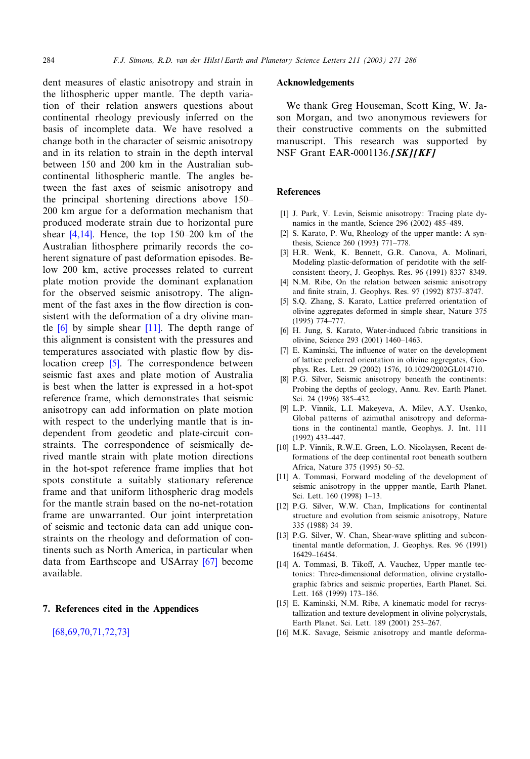<span id="page-13-0"></span>284 *F.J. Simons, R.D. van der Hilst / Earth and Planetary Science Letters 211 (2003) 271^286*

dent measures of elastic anisotropy and strain in the lithospheric upper mantle. The depth variation of their relation answers questions about continental rheology previously inferred on the basis of incomplete data. We have resolved a change both in the character of seismic anisotropy and in its relation to strain in the depth interval between 150 and 200 km in the Australian subcontinental lithospheric mantle. The angles between the fast axes of seismic anisotropy and the principal shortening directions above 150^ 200 km argue for a deformation mechanism that produced moderate strain due to horizontal pure shear  $[4,14]$ . Hence, the top 150–200 km of the Australian lithosphere primarily records the coherent signature of past deformation episodes. Below 200 km, active processes related to current plate motion provide the dominant explanation for the observed seismic anisotropy. The alignment of the fast axes in the flow direction is consistent with the deformation of a dry olivine mantle  $[6]$  by simple shear  $[11]$ . The depth range of this alignment is consistent with the pressures and temperatures associated with plastic flow by dislocation creep [5]. The correspondence between seismic fast axes and plate motion of Australia is best when the latter is expressed in a hot-spot reference frame, which demonstrates that seismic anisotropy can add information on plate motion with respect to the underlying mantle that is independent from geodetic and plate-circuit constraints. The correspondence of seismically derived mantle strain with plate motion directions in the hot-spot reference frame implies that hot spots constitute a suitably stationary reference frame and that uniform lithospheric drag models for the mantle strain based on the no-net-rotation frame are unwarranted. Our joint interpretation of seismic and tectonic data can add unique constraints on the rheology and deforma[tion](#page-15-0) of continents such as North America, in particular when data from Earthscope and USArray [67] become available.

# 7. [References cited in](#page-15-0) the Appendices

[68,69,70,71,72,73]

## Acknowledgements

We thank Greg Houseman, Scott King, W. Jason Morgan, and two anonymous reviewers for their constructive comments on the submitted manuscript. This research was supported by NSF Grant EAR-0001136.[SK][KF]

# **References**

- [1] J. Park, V. Levin, Seismic anisotropy: Tracing plate dynamics in the mantle, Science 296 (2002) 485-489.
- [2] S. Karato, P. Wu, Rheology of the upper mantle: A synthesis, Science 260 (1993) 771-778.
- [3] H.R. Wenk, K. Bennett, G.R. Canova, A. Molinari, Modeling plastic-deformation of peridotite with the selfconsistent theory, J. Geophys. Res. 96 (1991) 8337^8349.
- [4] N.M. Ribe, On the relation between seismic anisotropy and finite strain, J. Geophys. Res. 97 (1992) 8737-8747.
- [5] S.Q. Zhang, S. Karato, Lattice preferred orientation of olivine aggregates deformed in simple shear, Nature 375 (1995) 774^777.
- [6] H. Jung, S. Karato, Water-induced fabric transitions in olivine, Science 293 (2001) 1460-1463.
- [7] E. Kaminski, The influence of water on the development of lattice preferred orientation in olivine aggregates, Geophys. Res. Lett. 29 (2002) 1576, 10.1029/2002GL014710.
- [8] P.G. Silver, Seismic anisotropy beneath the continents: Probing the depths of geology, Annu. Rev. Earth Planet. Sci. 24 (1996) 385-432.
- [9] L.P. Vinnik, L.I. Makeyeva, A. Milev, A.Y. Usenko, Global patterns of azimuthal anisotropy and deformations in the continental mantle, Geophys. J. Int. 111 (1992) 433^447.
- [10] L.P. Vinnik, R.W.E. Green, L.O. Nicolaysen, Recent deformations of the deep continental root beneath southern Africa, Nature 375 (1995) 50^52.
- [11] A. Tommasi, Forward modeling of the development of seismic anisotropy in the uppper mantle, Earth Planet. Sci. Lett. 160 (1998) 1-13.
- [12] P.G. Silver, W.W. Chan, Implications for continental structure and evolution from seismic anisotropy, Nature 335 (1988) 34^39.
- [13] P.G. Silver, W. Chan, Shear-wave splitting and subcontinental mantle deformation, J. Geophys. Res. 96 (1991) 16429^16454.
- [14] A. Tommasi, B. Tikoff, A. Vauchez, Upper mantle tectonics: Three-dimensional deformation, olivine crystallographic fabrics and seismic properties, Earth Planet. Sci. Lett. 168 (1999) 173-186.
- [15] E. Kaminski, N.M. Ribe, A kinematic model for recrystallization and texture development in olivine polycrystals, Earth Planet. Sci. Lett. 189 (2001) 253^267.
- [16] M.K. Savage, Seismic anisotropy and mantle deforma-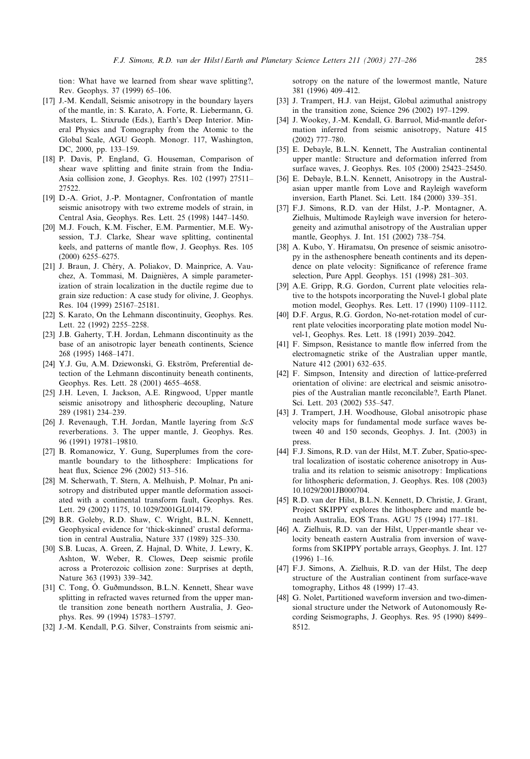<span id="page-14-0"></span>tion: What have we learned from shear wave splitting?, Rev. Geophys. 37 (1999) 65^106.

- [17] J.-M. Kendall, Seismic anisotropy in the boundary layers of the mantle, in: S. Karato, A. Forte, R. Liebermann, G. Masters, L. Stixrude (Eds.), Earth's Deep Interior. Mineral Physics and Tomography from the Atomic to the Global Scale, AGU Geoph. Monogr. 117, Washington, DC, 2000, pp. 133-159.
- [18] P. Davis, P. England, G. Houseman, Comparison of shear wave splitting and finite strain from the India-Asia collision zone, J. Geophys. Res. 102 (1997) 27511^ 27522.
- [19] D.-A. Griot, J.-P. Montagner, Confrontation of mantle seismic anisotropy with two extreme models of strain, in Central Asia, Geophys. Res. Lett. 25 (1998) 1447^1450.
- [20] M.J. Fouch, K.M. Fischer, E.M. Parmentier, M.E. Wysession, T.J. Clarke, Shear wave splitting, continental keels, and patterns of mantle flow, J. Geophys. Res. 105 (2000) 6255-6275.
- [21] J. Braun, J. Chéry, A. Poliakov, D. Mainprice, A. Vauchez, A. Tommasi, M. Daignières, A simple parameterization of strain localization in the ductile regime due to grain size reduction: A case study for olivine, J. Geophys. Res. 104 (1999) 25167^25181.
- [22] S. Karato, On the Lehmann discontinuity, Geophys. Res. Lett. 22 (1992) 2255-2258.
- [23] J.B. Gaherty, T.H. Jordan, Lehmann discontinuity as the base of an anisotropic layer beneath continents, Science 268 (1995) 1468^1471.
- [24] Y.J. Gu, A.M. Dziewonski, G. Ekström, Preferential detection of the Lehmann discontinuity beneath continents, Geophys. Res. Lett. 28 (2001) 4655-4658.
- [25] J.H. Leven, I. Jackson, A.E. Ringwood, Upper mantle seismic anisotropy and lithospheric decoupling, Nature 289 (1981) 234^239.
- [26] J. Revenaugh, T.H. Jordan, Mantle layering from *ScS* reverberations. 3. The upper mantle, J. Geophys. Res. 96 (1991) 19781^19810.
- [27] B. Romanowicz, Y. Gung, Superplumes from the coremantle boundary to the lithosphere: Implications for heat flux, Science 296 (2002) 513-516.
- [28] M. Scherwath, T. Stern, A. Melhuish, P. Molnar, Pn anisotropy and distributed upper mantle deformation associated with a continental transform fault, Geophys. Res. Lett. 29 (2002) 1175, 10.1029/2001GL014179.
- [29] B.R. Goleby, R.D. Shaw, C. Wright, B.L.N. Kennett, Geophysical evidence for 'thick-skinned' crustal deformation in central Australia, Nature 337 (1989) 325^330.
- [30] S.B. Lucas, A. Green, Z. Hajnal, D. White, J. Lewry, K. Ashton, W. Weber, R. Clowes, Deep seismic profile across a Proterozoic collision zone: Surprises at depth, Nature 363 (1993) 339-342.
- [31] C. Tong, O. Guðmundsson, B.L.N. Kennett, Shear wave splitting in refracted waves returned from the upper mantle transition zone beneath northern Australia, J. Geophys. Res. 99 (1994) 15783^15797.
- [32] J.-M. Kendall, P.G. Silver, Constraints from seismic ani-

sotropy on the nature of the lowermost mantle, Nature 381 (1996) 409^412.

- [33] J. Trampert, H.J. van Heijst, Global azimuthal anistropy in the transition zone, Science 296 (2002) 197-1299.
- [34] J. Wookey, J.-M. Kendall, G. Barruol, Mid-mantle deformation inferred from seismic anisotropy, Nature 415 (2002) 777-780.
- [35] E. Debayle, B.L.N. Kennett, The Australian continental upper mantle: Structure and deformation inferred from surface waves, J. Geophys. Res. 105 (2000) 25423^25450.
- [36] E. Debayle, B.L.N. Kennett, Anisotropy in the Australasian upper mantle from Love and Rayleigh waveform inversion, Earth Planet. Sci. Lett. 184 (2000) 339-351.
- [37] F.J. Simons, R.D. van der Hilst, J.-P. Montagner, A. Zielhuis, Multimode Rayleigh wave inversion for heterogeneity and azimuthal anisotropy of the Australian upper mantle, Geophys. J. Int. 151 (2002) 738^754.
- [38] A. Kubo, Y. Hiramatsu, On presence of seismic anisotropy in the asthenosphere beneath continents and its dependence on plate velocity: Significance of reference frame selection, Pure Appl. Geophys. 151 (1998) 281-303.
- [39] A.E. Gripp, R.G. Gordon, Current plate velocities relative to the hotspots incorporating the Nuvel-1 global plate motion model, Geophys. Res. Lett. 17 (1990) 1109^1112.
- [40] D.F. Argus, R.G. Gordon, No-net-rotation model of current plate velocities incorporating plate motion model Nuvel-1, Geophys. Res. Lett. 18 (1991) 2039-2042.
- [41] F. Simpson, Resistance to mantle flow inferred from the electromagnetic strike of the Australian upper mantle, Nature 412 (2001) 632-635.
- [42] F. Simpson, Intensity and direction of lattice-preferred orientation of olivine: are electrical and seismic anisotropies of the Australian mantle reconcilable?, Earth Planet. Sci. Lett. 203 (2002) 535-547.
- [43] J. Trampert, J.H. Woodhouse, Global anisotropic phase velocity maps for fundamental mode surface waves between 40 and 150 seconds, Geophys. J. Int. (2003) in press.
- [44] F.J. Simons, R.D. van der Hilst, M.T. Zuber, Spatio-spectral localization of isostatic coherence anisotropy in Australia and its relation to seismic anisotropy: Implications for lithospheric deformation, J. Geophys. Res. 108 (2003) 10.1029/2001JB000704.
- [45] R.D. van der Hilst, B.L.N. Kennett, D. Christie, J. Grant, Project SKIPPY explores the lithosphere and mantle beneath Australia, EOS Trans. AGU 75 (1994) 177^181.
- [46] A. Zielhuis, R.D. van der Hilst, Upper-mantle shear velocity beneath eastern Australia from inversion of waveforms from SKIPPY portable arrays, Geophys. J. Int. 127  $(1996)$  1-16.
- [47] F.J. Simons, A. Zielhuis, R.D. van der Hilst, The deep structure of the Australian continent from surface-wave tomography, Lithos 48 (1999) 17^43.
- [48] G. Nolet, Partitioned waveform inversion and two-dimensional structure under the Network of Autonomously Recording Seismographs, J. Geophys. Res. 95 (1990) 8499^ 8512.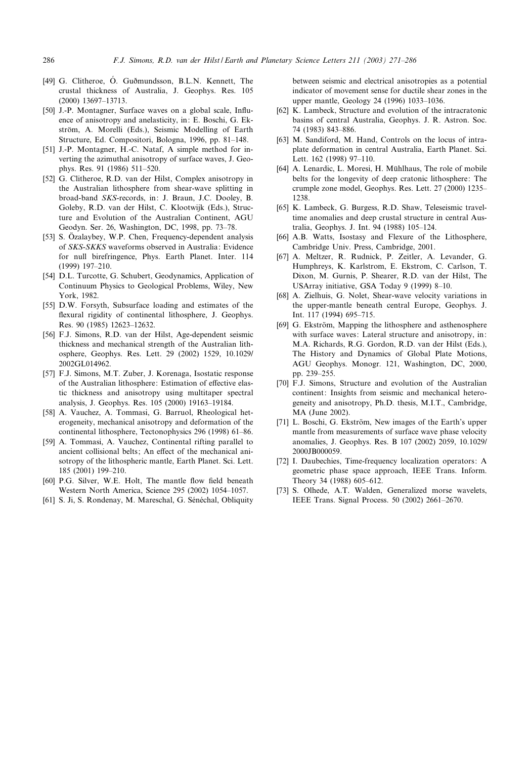- <span id="page-15-0"></span>[49] G. Clitheroe, O. Guðmundsson, B.L.N. Kennett, The crustal thickness of Australia, J. Geophys. Res. 105 (2000) 13697-13713.
- [50] J.-P. Montagner, Surface waves on a global scale, Influence of anisotropy and anelasticity, in: E. Boschi, G. Ekström, A. Morelli (Eds.), Seismic Modelling of Earth Structure, Ed. Compositori, Bologna, 1996, pp. 81^148.
- [51] J.-P. Montagner, H.-C. Nataf, A simple method for inverting the azimuthal anisotropy of surface waves, J. Geophys. Res. 91 (1986) 511^520.
- [52] G. Clitheroe, R.D. van der Hilst, Complex anisotropy in the Australian lithosphere from shear-wave splitting in broad-band *SKS*-records, in: J. Braun, J.C. Dooley, B. Goleby, R.D. van der Hilst, C. Klootwijk (Eds.), Structure and Evolution of the Australian Continent, AGU Geodyn. Ser. 26, Washington, DC, 1998, pp. 73^78.
- [53] S. Özalaybey, W.P. Chen, Frequency-dependent analysis of *SKS*-*SKKS* waveforms observed in Australia: Evidence for null birefringence, Phys. Earth Planet. Inter. 114 (1999) 197-210.
- [54] D.L. Turcotte, G. Schubert, Geodynamics, Application of Continuum Physics to Geological Problems, Wiley, New York, 1982.
- [55] D.W. Forsyth, Subsurface loading and estimates of the flexural rigidity of continental lithosphere, J. Geophys. Res. 90 (1985) 12623^12632.
- [56] F.J. Simons, R.D. van der Hilst, Age-dependent seismic thickness and mechanical strength of the Australian lithosphere, Geophys. Res. Lett. 29 (2002) 1529, 10.1029/ 2002GL014962.
- [57] F.J. Simons, M.T. Zuber, J. Korenaga, Isostatic response of the Australian lithosphere: Estimation of effective elastic thickness and anisotropy using multitaper spectral analysis, J. Geophys. Res. 105 (2000) 19163^19184.
- [58] A. Vauchez, A. Tommasi, G. Barruol, Rheological heterogeneity, mechanical anisotropy and deformation of the continental lithosphere, Tectonophysics 296 (1998) 61^86.
- [59] A. Tommasi, A. Vauchez, Continental rifting parallel to ancient collisional belts; An effect of the mechanical anisotropy of the lithospheric mantle, Earth Planet. Sci. Lett. 185 (2001) 199^210.
- [60] P.G. Silver, W.E. Holt, The mantle flow field beneath Western North America, Science 295 (2002) 1054^1057.
- [61] S. Ji, S. Rondenay, M. Mareschal, G. Sénéchal, Obliquity

between seismic and electrical anisotropies as a potential indicator of movement sense for ductile shear zones in the upper mantle, Geology 24 (1996) 1033-1036.

- [62] K. Lambeck, Structure and evolution of the intracratonic basins of central Australia, Geophys. J. R. Astron. Soc. 74 (1983) 843^886.
- [63] M. Sandiford, M. Hand, Controls on the locus of intraplate deformation in central Australia, Earth Planet. Sci. Lett. 162 (1998) 97-110.
- [64] A. Lenardic, L. Moresi, H. Mühlhaus, The role of mobile belts for the longevity of deep cratonic lithosphere: The crumple zone model, Geophys. Res. Lett. 27 (2000) 1235^ 1238.
- [65] K. Lambeck, G. Burgess, R.D. Shaw, Teleseismic traveltime anomalies and deep crustal structure in central Australia, Geophys. J. Int. 94 (1988) 105^124.
- [66] A.B. Watts, Isostasy and Flexure of the Lithosphere, Cambridge Univ. Press, Cambridge, 2001.
- [67] A. Meltzer, R. Rudnick, P. Zeitler, A. Levander, G. Humphreys, K. Karlstrom, E. Ekstrom, C. Carlson, T. Dixon, M. Gurnis, P. Shearer, R.D. van der Hilst, The USArray initiative, GSA Today 9 (1999) 8-10.
- [68] A. Zielhuis, G. Nolet, Shear-wave velocity variations in the upper-mantle beneath central Europe, Geophys. J. Int. 117 (1994) 695-715.
- [69] G. Ekström, Mapping the lithosphere and asthenosphere with surface waves: Lateral structure and anisotropy, in: M.A. Richards, R.G. Gordon, R.D. van der Hilst (Eds.), The History and Dynamics of Global Plate Motions, AGU Geophys. Monogr. 121, Washington, DC, 2000, pp. 239-255.
- [70] F.J. Simons, Structure and evolution of the Australian continent: Insights from seismic and mechanical heterogeneity and anisotropy, Ph.D. thesis, M.I.T., Cambridge, MA (June 2002).
- [71] L. Boschi, G. Ekström, New images of the Earth's upper mantle from measurements of surface wave phase velocity anomalies, J. Geophys. Res. B 107 (2002) 2059, 10.1029/ 2000JB000059.
- [72] I. Daubechies, Time-frequency localization operators: A geometric phase space approach, IEEE Trans. Inform. Theory 34 (1988) 605-612.
- [73] S. Olhede, A.T. Walden, Generalized morse wavelets, IEEE Trans. Signal Process. 50 (2002) 2661^2670.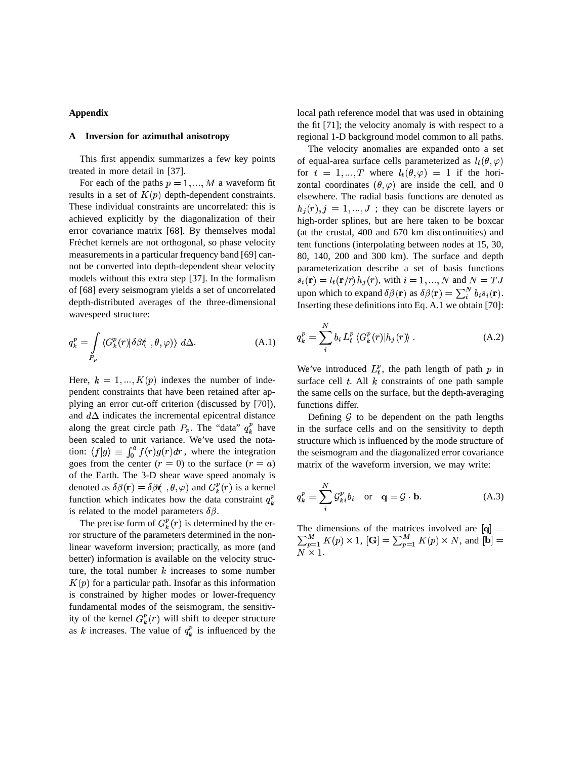## **Appendix**

## **A Inversion for azimuthal anisotropy**

This first appendix summarizes a few key points treated in more detail in [37].

For each of the paths  $p = 1, ..., M$  a waveform fit results in a set of  $K(p)$  depth-dependent constraints. These individual constraints are uncorrelated: this is achieved explicitly by the diagonalization of their error covariance matrix [68]. By themselves modal Fréchet kernels are not orthogonal, so phase velocity measurements in a particular frequency band [69] cannot be converted into depth-dependent shear velocity models without this extra step [37]. In the formalism of [68] every seismogram yields a set of uncorrelated depth-distributed averages of the three-dimensional wavespeed structure:

$$
q_k^p = \int\limits_{P_p} \langle G_k^p(r) | \delta \beta \langle \, , \theta, \varphi \rangle \rangle \, d\Delta. \tag{A.1}
$$

Here,  $k = 1, ..., K(p)$  indexes the number of independent constraints that have been retained after applying an error cut-off criterion (discussed by [70]), and  $d\Delta$  indicates the incremental epicentral distance along the great circle path  $P_p$ . The "data"  $q_k^p$  have been scaled to unit variance. We've used the notation:  $\langle f|g\rangle \equiv \int_0^a f(r)g(r)dr$ , where the integration goes from the center  $(r = 0)$  to the surface  $(r = a)$ of the Earth. The 3-D shear wave speed anomaly is denoted as  $\delta\beta(\mathbf{r}) = \delta\beta\hat{\theta}(\theta, \theta, \varphi)$  and  $G_k^p(r)$  is a kernel function which indicates how the data constraint  $q_k^p$ n. is related to the model parameters  $\delta\beta$ .

The precise form of  $G_k^p(r)$  is determined by the error structure of the parameters determined in the nonlinear waveform inversion; practically, as more (and better) information is available on the velocity structure, the total number  $k$  increases to some number  $K(p)$  for a particular path. Insofar as this information is constrained by higher modes or lower-frequency fundamental modes of the seismogram, the sensitivity of the kernel  $G_k^p(r)$  will shift to deeper structure as k increases. The value of  $q_k^p$  is influenced by the

local path reference model that was used in obtaining the fit [71]; the velocity anomaly is with respect to a regional 1-D background model common to all paths.

The velocity anomalies are expanded onto a set of equal-area surface cells parameterized as  $l_t(\theta, \varphi)$ for  $t = 1, ..., T$  where  $l_t(\theta, \varphi) = 1$  if the horizontal coordinates  $(\theta, \varphi)$  are inside the cell, and 0 elsewhere. The radial basis functions are denoted as  $h_i(r), j = 1, ..., J$ ; they can be discrete layers or high-order splines, but are here taken to be boxcar (at the crustal, 400 and 670 km discontinuities) and tent functions (interpolating between nodes at 15, 30, 80, 140, 200 and 300 km). The surface and depth parameterization describe a set of basis functions  $s_i(\mathbf{r}) = l_t(\mathbf{r}/r) h_j(r)$ , with  $i = 1, ..., N$  and  $N = TJ$ upon which to expand  $\delta\beta(\mathbf{r})$  as  $\delta\beta(\mathbf{r}) = \sum_{i=1}^{N} b_i s_i(\mathbf{r}).$ Inserting these definitions into Eq. A.1 we obtain [70]:

$$
q_k^p = \sum_{i}^{N} b_i L_t^p \langle G_k^p(r) | h_j(r) \rangle . \tag{A.2}
$$

We've introduced  $L_t^p$ , the path length of path p in surface cell  $t$ . All  $k$  constraints of one path sample the same cells on the surface, but the depth-averaging functions differ.

Defining  $G$  to be dependent on the path lengths in the surface cells and on the sensitivity to depth structure which is influenced by the mode structure of the seismogram and the diagonalized error covariance matrix of the waveform inversion, we may write:

$$
q_k^p = \sum_i^N \mathcal{G}_{ki}^p b_i \quad \text{or} \quad \mathbf{q} = \mathcal{G} \cdot \mathbf{b}.\tag{A.3}
$$

The dimensions of the matrices involved are  $|{\bf q}| =$  $\sum_{p=1}^{M} K(p) \times 1$ ,  $[\mathbf{G}] = \sum_{p=1}^{M} K(p) \times N$ , and  $[\mathbf{b}] =$ . .